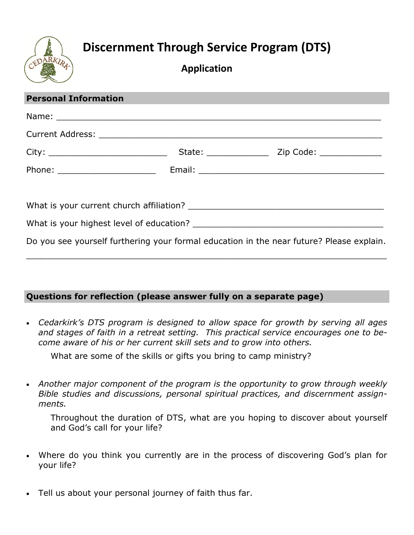

## **Discernment Through Service Program (DTS)**

## **Application**

| <b>Personal Information</b> |                                                                                          |
|-----------------------------|------------------------------------------------------------------------------------------|
|                             |                                                                                          |
|                             |                                                                                          |
|                             |                                                                                          |
|                             |                                                                                          |
|                             |                                                                                          |
|                             |                                                                                          |
|                             |                                                                                          |
|                             | Do you see yourself furthering your formal education in the near future? Please explain. |

## **Questions for reflection (please answer fully on a separate page)**

 *Cedarkirk's DTS program is designed to allow space for growth by serving all ages and stages of faith in a retreat setting. This practical service encourages one to become aware of his or her current skill sets and to grow into others.*

What are some of the skills or gifts you bring to camp ministry?

 *Another major component of the program is the opportunity to grow through weekly Bible studies and discussions, personal spiritual practices, and discernment assignments.*

Throughout the duration of DTS, what are you hoping to discover about yourself and God's call for your life?

- Where do you think you currently are in the process of discovering God's plan for your life?
- Tell us about your personal journey of faith thus far.